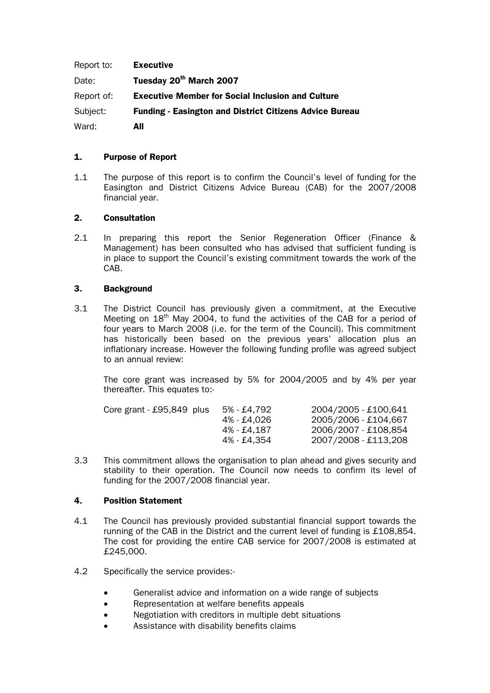| Report to: | Executive                                                      |
|------------|----------------------------------------------------------------|
| Date:      | Tuesday 20 <sup>th</sup> March 2007                            |
| Report of: | <b>Executive Member for Social Inclusion and Culture</b>       |
| Subject:   | <b>Funding - Easington and District Citizens Advice Bureau</b> |
| Ward:      | All                                                            |

# 1. Purpose of Report

1.1 The purpose of this report is to confirm the Council's level of funding for the Easington and District Citizens Advice Bureau (CAB) for the 2007/2008 financial year.

# 2. Consultation

2.1 In preparing this report the Senior Regeneration Officer (Finance & Management) has been consulted who has advised that sufficient funding is in place to support the Council's existing commitment towards the work of the CAB.

# 3. Background

3.1 The District Council has previously given a commitment, at the Executive Meeting on 18<sup>th</sup> May 2004, to fund the activities of the CAB for a period of four years to March 2008 (i.e. for the term of the Council). This commitment has historically been based on the previous years' allocation plus an inflationary increase. However the following funding profile was agreed subject to an annual review:

The core grant was increased by 5% for 2004/2005 and by 4% per year thereafter. This equates to:-

| Core grant $-$ £95,849 plus | 5% - £4.792 | 2004/2005 - £100,641 |
|-----------------------------|-------------|----------------------|
|                             | 4% - £4.026 | 2005/2006 - £104,667 |
|                             | 4% - £4.187 | 2006/2007 - £108,854 |
|                             | 4% - £4.354 | 2007/2008 - £113,208 |
|                             |             |                      |

3.3 This commitment allows the organisation to plan ahead and gives security and stability to their operation. The Council now needs to confirm its level of funding for the 2007/2008 financial year.

## 4. Position Statement

- 4.1 The Council has previously provided substantial financial support towards the running of the CAB in the District and the current level of funding is £108,854. The cost for providing the entire CAB service for 2007/2008 is estimated at £245,000.
- 4.2 Specifically the service provides:-
	- Generalist advice and information on a wide range of subjects
	- Representation at welfare benefits appeals
	- Negotiation with creditors in multiple debt situations
	- Assistance with disability benefits claims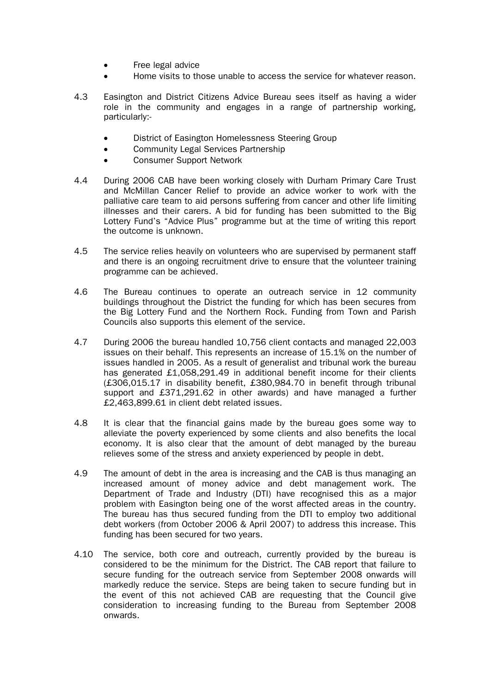- Free legal advice
- Home visits to those unable to access the service for whatever reason.
- 4.3 Easington and District Citizens Advice Bureau sees itself as having a wider role in the community and engages in a range of partnership working, particularly:-
	- District of Easington Homelessness Steering Group
	- Community Legal Services Partnership
	- Consumer Support Network
- 4.4 During 2006 CAB have been working closely with Durham Primary Care Trust and McMillan Cancer Relief to provide an advice worker to work with the palliative care team to aid persons suffering from cancer and other life limiting illnesses and their carers. A bid for funding has been submitted to the Big Lottery Fund's "Advice Plus" programme but at the time of writing this report the outcome is unknown.
- 4.5 The service relies heavily on volunteers who are supervised by permanent staff and there is an ongoing recruitment drive to ensure that the volunteer training programme can be achieved.
- 4.6 The Bureau continues to operate an outreach service in 12 community buildings throughout the District the funding for which has been secures from the Big Lottery Fund and the Northern Rock. Funding from Town and Parish Councils also supports this element of the service.
- 4.7 During 2006 the bureau handled 10,756 client contacts and managed 22,003 issues on their behalf. This represents an increase of 15.1% on the number of issues handled in 2005. As a result of generalist and tribunal work the bureau has generated £1,058,291.49 in additional benefit income for their clients (£306,015.17 in disability benefit, £380,984.70 in benefit through tribunal support and £371,291.62 in other awards) and have managed a further £2,463,899.61 in client debt related issues.
- 4.8 It is clear that the financial gains made by the bureau goes some way to alleviate the poverty experienced by some clients and also benefits the local economy. It is also clear that the amount of debt managed by the bureau relieves some of the stress and anxiety experienced by people in debt.
- 4.9 The amount of debt in the area is increasing and the CAB is thus managing an increased amount of money advice and debt management work. The Department of Trade and Industry (DTI) have recognised this as a major problem with Easington being one of the worst affected areas in the country. The bureau has thus secured funding from the DTI to employ two additional debt workers (from October 2006 & April 2007) to address this increase. This funding has been secured for two years.
- 4.10 The service, both core and outreach, currently provided by the bureau is considered to be the minimum for the District. The CAB report that failure to secure funding for the outreach service from September 2008 onwards will markedly reduce the service. Steps are being taken to secure funding but in the event of this not achieved CAB are requesting that the Council give consideration to increasing funding to the Bureau from September 2008 onwards.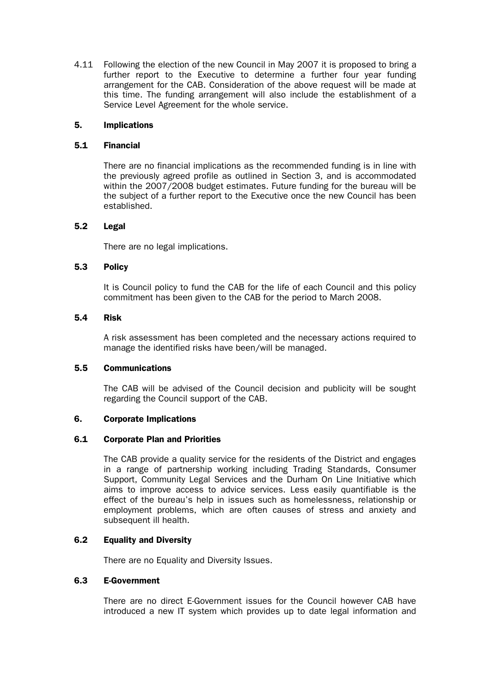4.11 Following the election of the new Council in May 2007 it is proposed to bring a further report to the Executive to determine a further four year funding arrangement for the CAB. Consideration of the above request will be made at this time. The funding arrangement will also include the establishment of a Service Level Agreement for the whole service.

# 5. Implications

## 5.1 Financial

There are no financial implications as the recommended funding is in line with the previously agreed profile as outlined in Section 3, and is accommodated within the 2007/2008 budget estimates. Future funding for the bureau will be the subject of a further report to the Executive once the new Council has been established.

# 5.2 Legal

There are no legal implications.

# 5.3 Policy

It is Council policy to fund the CAB for the life of each Council and this policy commitment has been given to the CAB for the period to March 2008.

## 5.4 Risk

A risk assessment has been completed and the necessary actions required to manage the identified risks have been/will be managed.

# 5.5 Communications

The CAB will be advised of the Council decision and publicity will be sought regarding the Council support of the CAB.

## 6. Corporate Implications

## 6.1 Corporate Plan and Priorities

The CAB provide a quality service for the residents of the District and engages in a range of partnership working including Trading Standards, Consumer Support, Community Legal Services and the Durham On Line Initiative which aims to improve access to advice services. Less easily quantifiable is the effect of the bureau's help in issues such as homelessness, relationship or employment problems, which are often causes of stress and anxiety and subsequent ill health.

# 6.2 Equality and Diversity

There are no Equality and Diversity Issues.

# 6.3 E-Government

There are no direct E-Government issues for the Council however CAB have introduced a new IT system which provides up to date legal information and